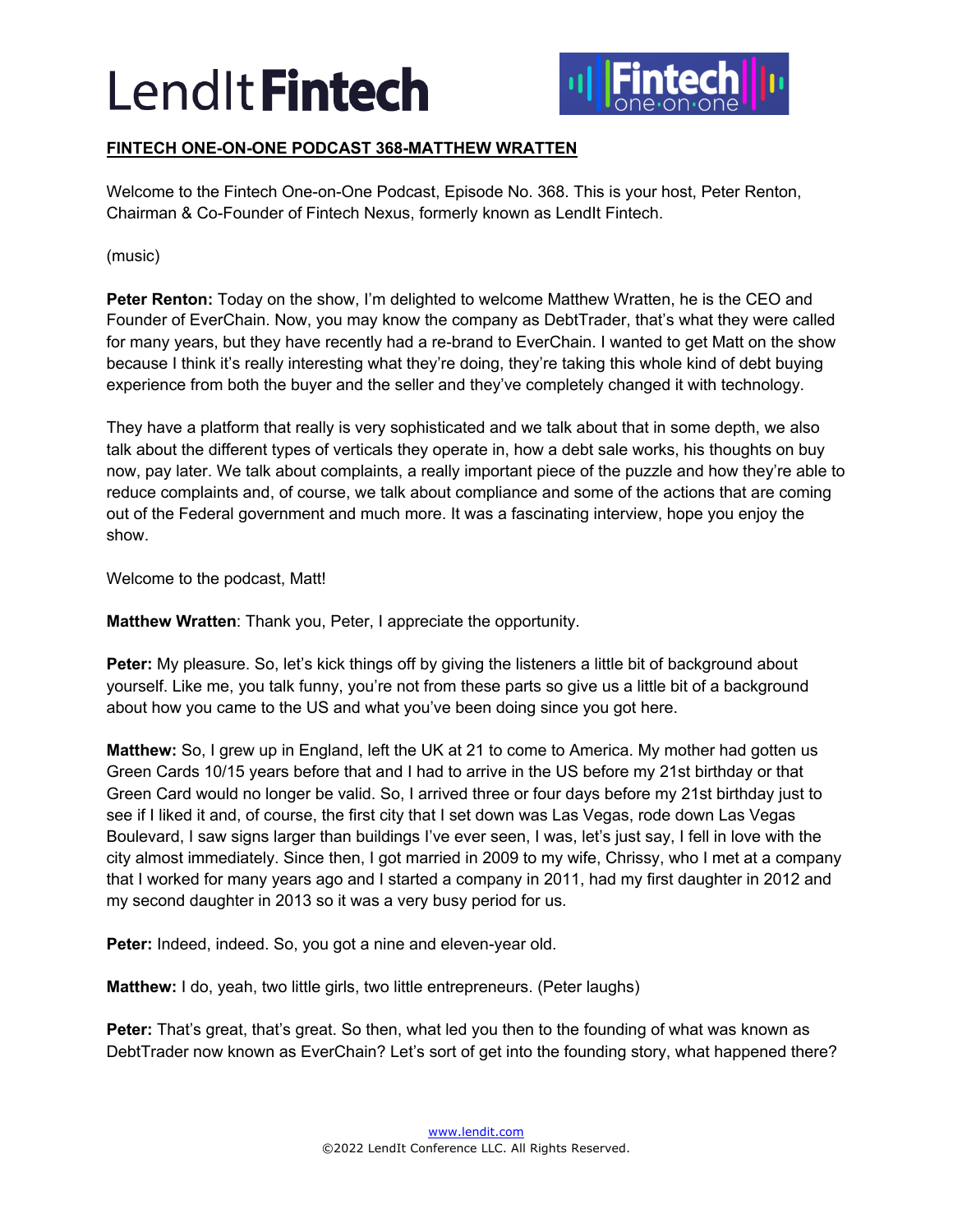

# **FINTECH ONE-ON-ONE PODCAST 368-MATTHEW WRATTEN**

Welcome to the Fintech One-on-One Podcast, Episode No. 368. This is your host, Peter Renton, Chairman & Co-Founder of Fintech Nexus, formerly known as LendIt Fintech.

(music)

**Peter Renton:** Today on the show, I'm delighted to welcome Matthew Wratten, he is the CEO and Founder of EverChain. Now, you may know the company as DebtTrader, that's what they were called for many years, but they have recently had a re-brand to EverChain. I wanted to get Matt on the show because I think it's really interesting what they're doing, they're taking this whole kind of debt buying experience from both the buyer and the seller and they've completely changed it with technology.

They have a platform that really is very sophisticated and we talk about that in some depth, we also talk about the different types of verticals they operate in, how a debt sale works, his thoughts on buy now, pay later. We talk about complaints, a really important piece of the puzzle and how they're able to reduce complaints and, of course, we talk about compliance and some of the actions that are coming out of the Federal government and much more. It was a fascinating interview, hope you enjoy the show.

Welcome to the podcast, Matt!

**Matthew Wratten**: Thank you, Peter, I appreciate the opportunity.

**Peter:** My pleasure. So, let's kick things off by giving the listeners a little bit of background about yourself. Like me, you talk funny, you're not from these parts so give us a little bit of a background about how you came to the US and what you've been doing since you got here.

**Matthew:** So, I grew up in England, left the UK at 21 to come to America. My mother had gotten us Green Cards 10/15 years before that and I had to arrive in the US before my 21st birthday or that Green Card would no longer be valid. So, I arrived three or four days before my 21st birthday just to see if I liked it and, of course, the first city that I set down was Las Vegas, rode down Las Vegas Boulevard, I saw signs larger than buildings I've ever seen, I was, let's just say, I fell in love with the city almost immediately. Since then, I got married in 2009 to my wife, Chrissy, who I met at a company that I worked for many years ago and I started a company in 2011, had my first daughter in 2012 and my second daughter in 2013 so it was a very busy period for us.

**Peter:** Indeed, indeed. So, you got a nine and eleven-year old.

**Matthew:** I do, yeah, two little girls, two little entrepreneurs. (Peter laughs)

**Peter:** That's great, that's great. So then, what led you then to the founding of what was known as DebtTrader now known as EverChain? Let's sort of get into the founding story, what happened there?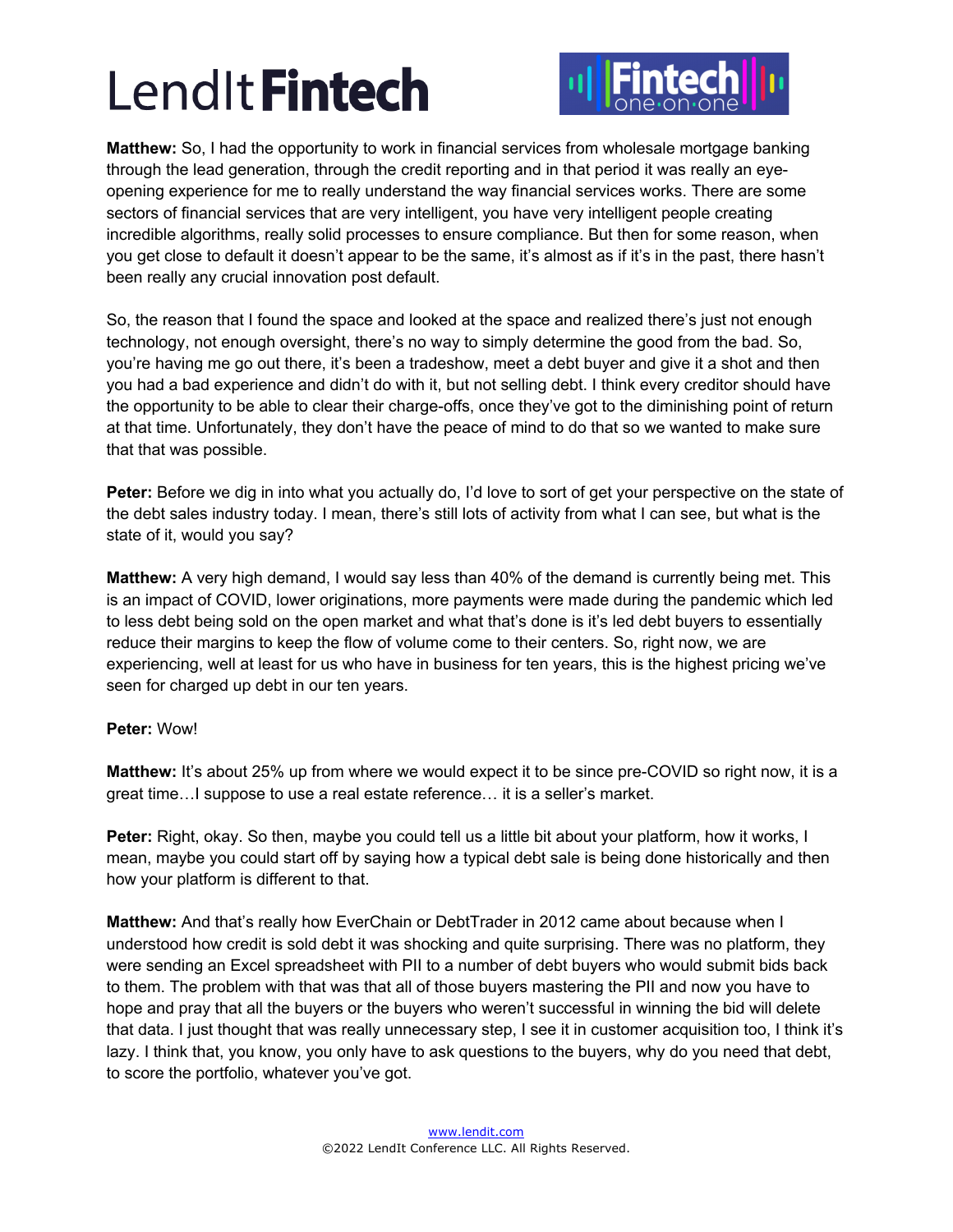

**Matthew:** So, I had the opportunity to work in financial services from wholesale mortgage banking through the lead generation, through the credit reporting and in that period it was really an eyeopening experience for me to really understand the way financial services works. There are some sectors of financial services that are very intelligent, you have very intelligent people creating incredible algorithms, really solid processes to ensure compliance. But then for some reason, when you get close to default it doesn't appear to be the same, it's almost as if it's in the past, there hasn't been really any crucial innovation post default.

So, the reason that I found the space and looked at the space and realized there's just not enough technology, not enough oversight, there's no way to simply determine the good from the bad. So, you're having me go out there, it's been a tradeshow, meet a debt buyer and give it a shot and then you had a bad experience and didn't do with it, but not selling debt. I think every creditor should have the opportunity to be able to clear their charge-offs, once they've got to the diminishing point of return at that time. Unfortunately, they don't have the peace of mind to do that so we wanted to make sure that that was possible.

**Peter:** Before we dig in into what you actually do, I'd love to sort of get your perspective on the state of the debt sales industry today. I mean, there's still lots of activity from what I can see, but what is the state of it, would you say?

**Matthew:** A very high demand, I would say less than 40% of the demand is currently being met. This is an impact of COVID, lower originations, more payments were made during the pandemic which led to less debt being sold on the open market and what that's done is it's led debt buyers to essentially reduce their margins to keep the flow of volume come to their centers. So, right now, we are experiencing, well at least for us who have in business for ten years, this is the highest pricing we've seen for charged up debt in our ten years.

### **Peter:** Wow!

**Matthew:** It's about 25% up from where we would expect it to be since pre-COVID so right now, it is a great time…I suppose to use a real estate reference… it is a seller's market.

**Peter:** Right, okay. So then, maybe you could tell us a little bit about your platform, how it works, I mean, maybe you could start off by saying how a typical debt sale is being done historically and then how your platform is different to that.

**Matthew:** And that's really how EverChain or DebtTrader in 2012 came about because when I understood how credit is sold debt it was shocking and quite surprising. There was no platform, they were sending an Excel spreadsheet with PII to a number of debt buyers who would submit bids back to them. The problem with that was that all of those buyers mastering the PII and now you have to hope and pray that all the buyers or the buyers who weren't successful in winning the bid will delete that data. I just thought that was really unnecessary step, I see it in customer acquisition too, I think it's lazy. I think that, you know, you only have to ask questions to the buyers, why do you need that debt, to score the portfolio, whatever you've got.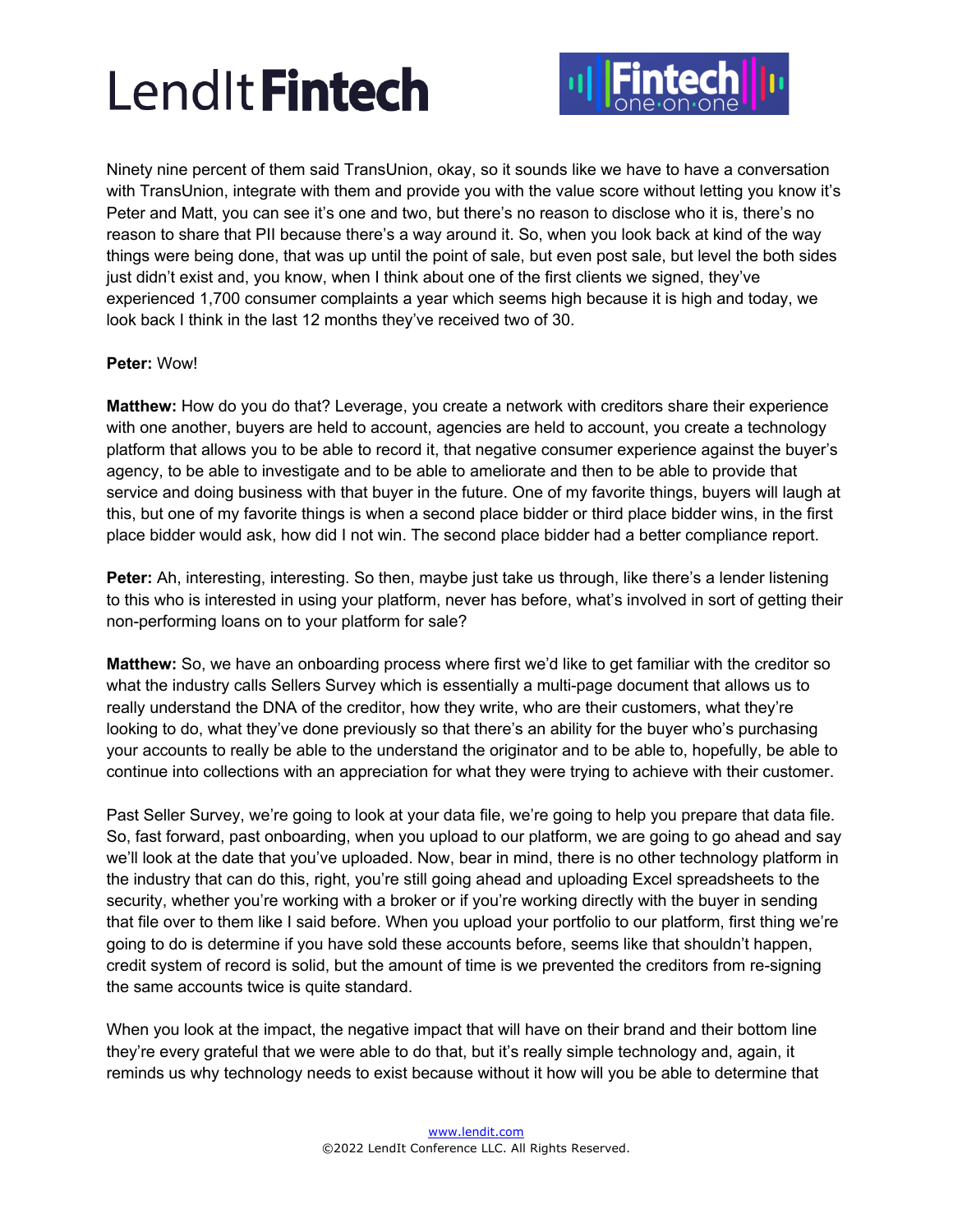

Ninety nine percent of them said TransUnion, okay, so it sounds like we have to have a conversation with TransUnion, integrate with them and provide you with the value score without letting you know it's Peter and Matt, you can see it's one and two, but there's no reason to disclose who it is, there's no reason to share that PII because there's a way around it. So, when you look back at kind of the way things were being done, that was up until the point of sale, but even post sale, but level the both sides just didn't exist and, you know, when I think about one of the first clients we signed, they've experienced 1,700 consumer complaints a year which seems high because it is high and today, we look back I think in the last 12 months they've received two of 30.

## **Peter:** Wow!

**Matthew:** How do you do that? Leverage, you create a network with creditors share their experience with one another, buyers are held to account, agencies are held to account, you create a technology platform that allows you to be able to record it, that negative consumer experience against the buyer's agency, to be able to investigate and to be able to ameliorate and then to be able to provide that service and doing business with that buyer in the future. One of my favorite things, buyers will laugh at this, but one of my favorite things is when a second place bidder or third place bidder wins, in the first place bidder would ask, how did I not win. The second place bidder had a better compliance report.

**Peter:** Ah, interesting, interesting. So then, maybe just take us through, like there's a lender listening to this who is interested in using your platform, never has before, what's involved in sort of getting their non-performing loans on to your platform for sale?

**Matthew:** So, we have an onboarding process where first we'd like to get familiar with the creditor so what the industry calls Sellers Survey which is essentially a multi-page document that allows us to really understand the DNA of the creditor, how they write, who are their customers, what they're looking to do, what they've done previously so that there's an ability for the buyer who's purchasing your accounts to really be able to the understand the originator and to be able to, hopefully, be able to continue into collections with an appreciation for what they were trying to achieve with their customer.

Past Seller Survey, we're going to look at your data file, we're going to help you prepare that data file. So, fast forward, past onboarding, when you upload to our platform, we are going to go ahead and say we'll look at the date that you've uploaded. Now, bear in mind, there is no other technology platform in the industry that can do this, right, you're still going ahead and uploading Excel spreadsheets to the security, whether you're working with a broker or if you're working directly with the buyer in sending that file over to them like I said before. When you upload your portfolio to our platform, first thing we're going to do is determine if you have sold these accounts before, seems like that shouldn't happen, credit system of record is solid, but the amount of time is we prevented the creditors from re-signing the same accounts twice is quite standard.

When you look at the impact, the negative impact that will have on their brand and their bottom line they're every grateful that we were able to do that, but it's really simple technology and, again, it reminds us why technology needs to exist because without it how will you be able to determine that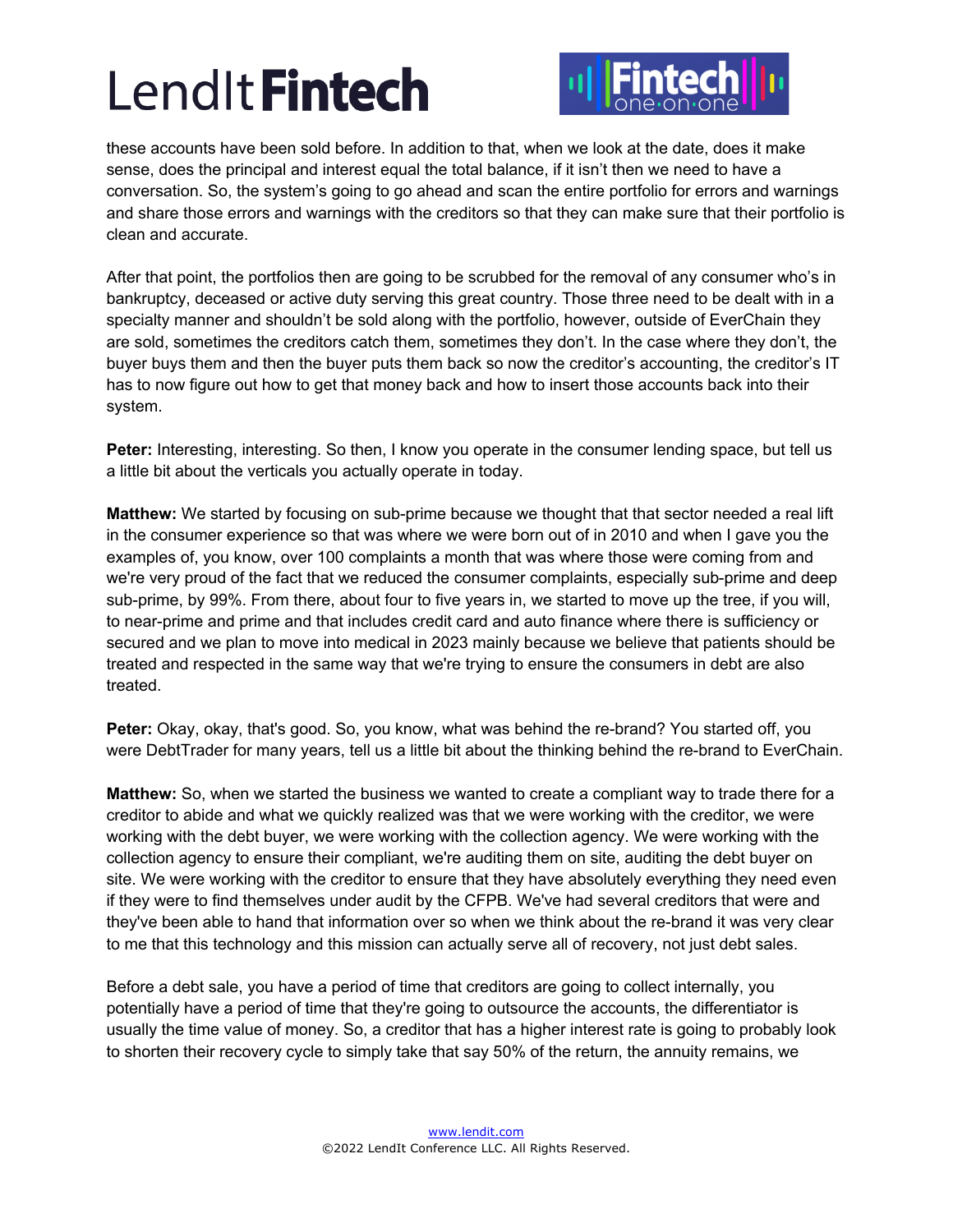

these accounts have been sold before. In addition to that, when we look at the date, does it make sense, does the principal and interest equal the total balance, if it isn't then we need to have a conversation. So, the system's going to go ahead and scan the entire portfolio for errors and warnings and share those errors and warnings with the creditors so that they can make sure that their portfolio is clean and accurate.

After that point, the portfolios then are going to be scrubbed for the removal of any consumer who's in bankruptcy, deceased or active duty serving this great country. Those three need to be dealt with in a specialty manner and shouldn't be sold along with the portfolio, however, outside of EverChain they are sold, sometimes the creditors catch them, sometimes they don't. In the case where they don't, the buyer buys them and then the buyer puts them back so now the creditor's accounting, the creditor's IT has to now figure out how to get that money back and how to insert those accounts back into their system.

Peter: Interesting, interesting. So then, I know you operate in the consumer lending space, but tell us a little bit about the verticals you actually operate in today.

**Matthew:** We started by focusing on sub-prime because we thought that that sector needed a real lift in the consumer experience so that was where we were born out of in 2010 and when I gave you the examples of, you know, over 100 complaints a month that was where those were coming from and we're very proud of the fact that we reduced the consumer complaints, especially sub-prime and deep sub-prime, by 99%. From there, about four to five years in, we started to move up the tree, if you will, to near-prime and prime and that includes credit card and auto finance where there is sufficiency or secured and we plan to move into medical in 2023 mainly because we believe that patients should be treated and respected in the same way that we're trying to ensure the consumers in debt are also treated.

**Peter:** Okay, okay, that's good. So, you know, what was behind the re-brand? You started off, you were DebtTrader for many years, tell us a little bit about the thinking behind the re-brand to EverChain.

**Matthew:** So, when we started the business we wanted to create a compliant way to trade there for a creditor to abide and what we quickly realized was that we were working with the creditor, we were working with the debt buyer, we were working with the collection agency. We were working with the collection agency to ensure their compliant, we're auditing them on site, auditing the debt buyer on site. We were working with the creditor to ensure that they have absolutely everything they need even if they were to find themselves under audit by the CFPB. We've had several creditors that were and they've been able to hand that information over so when we think about the re-brand it was very clear to me that this technology and this mission can actually serve all of recovery, not just debt sales.

Before a debt sale, you have a period of time that creditors are going to collect internally, you potentially have a period of time that they're going to outsource the accounts, the differentiator is usually the time value of money. So, a creditor that has a higher interest rate is going to probably look to shorten their recovery cycle to simply take that say 50% of the return, the annuity remains, we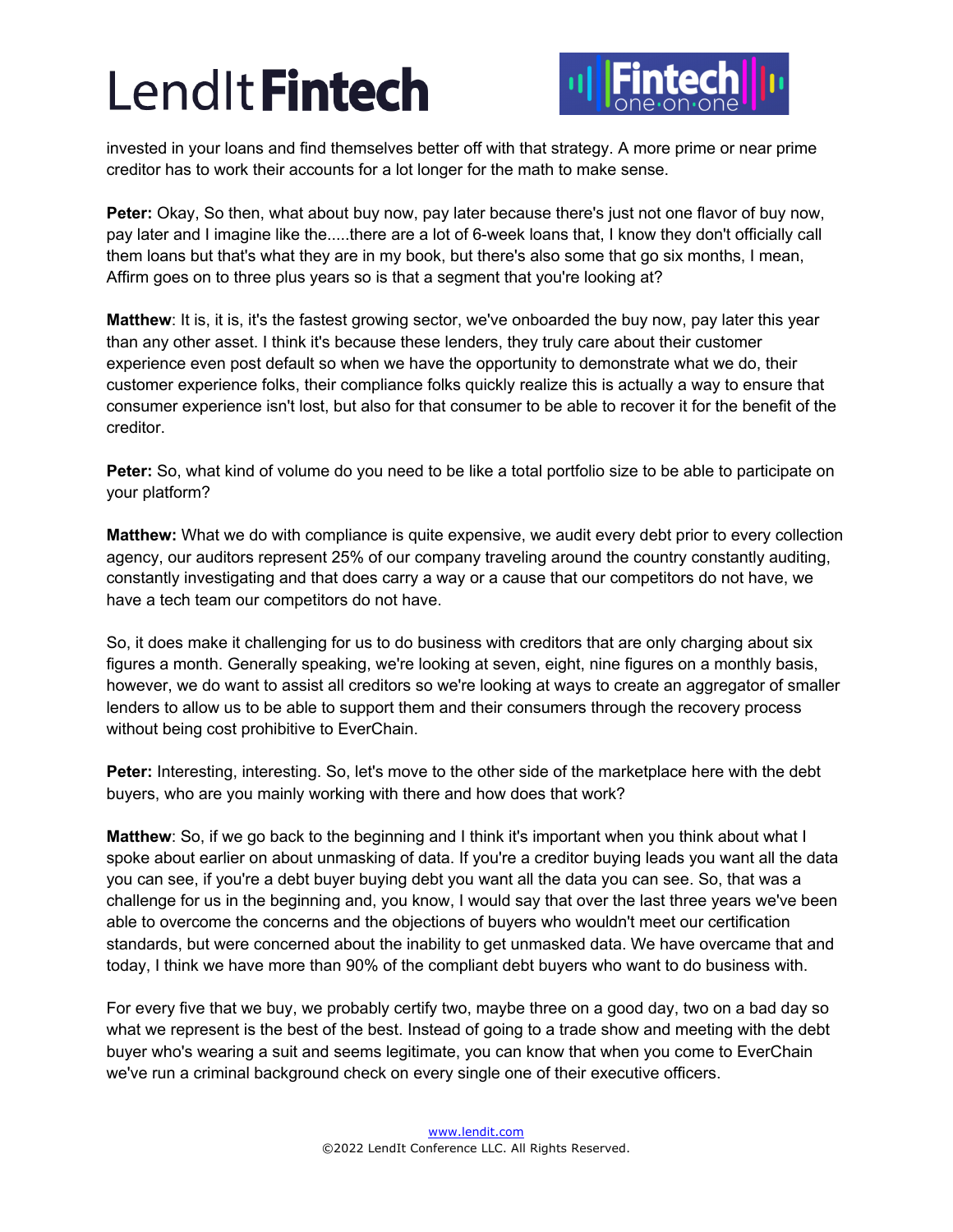

invested in your loans and find themselves better off with that strategy. A more prime or near prime creditor has to work their accounts for a lot longer for the math to make sense.

**Peter:** Okay, So then, what about buy now, pay later because there's just not one flavor of buy now, pay later and I imagine like the.....there are a lot of 6-week loans that, I know they don't officially call them loans but that's what they are in my book, but there's also some that go six months, I mean, Affirm goes on to three plus years so is that a segment that you're looking at?

**Matthew**: It is, it is, it's the fastest growing sector, we've onboarded the buy now, pay later this year than any other asset. I think it's because these lenders, they truly care about their customer experience even post default so when we have the opportunity to demonstrate what we do, their customer experience folks, their compliance folks quickly realize this is actually a way to ensure that consumer experience isn't lost, but also for that consumer to be able to recover it for the benefit of the creditor.

**Peter:** So, what kind of volume do you need to be like a total portfolio size to be able to participate on your platform?

**Matthew:** What we do with compliance is quite expensive, we audit every debt prior to every collection agency, our auditors represent 25% of our company traveling around the country constantly auditing, constantly investigating and that does carry a way or a cause that our competitors do not have, we have a tech team our competitors do not have.

So, it does make it challenging for us to do business with creditors that are only charging about six figures a month. Generally speaking, we're looking at seven, eight, nine figures on a monthly basis, however, we do want to assist all creditors so we're looking at ways to create an aggregator of smaller lenders to allow us to be able to support them and their consumers through the recovery process without being cost prohibitive to EverChain.

**Peter:** Interesting, interesting. So, let's move to the other side of the marketplace here with the debt buyers, who are you mainly working with there and how does that work?

**Matthew**: So, if we go back to the beginning and I think it's important when you think about what I spoke about earlier on about unmasking of data. If you're a creditor buying leads you want all the data you can see, if you're a debt buyer buying debt you want all the data you can see. So, that was a challenge for us in the beginning and, you know, I would say that over the last three years we've been able to overcome the concerns and the objections of buyers who wouldn't meet our certification standards, but were concerned about the inability to get unmasked data. We have overcame that and today, I think we have more than 90% of the compliant debt buyers who want to do business with.

For every five that we buy, we probably certify two, maybe three on a good day, two on a bad day so what we represent is the best of the best. Instead of going to a trade show and meeting with the debt buyer who's wearing a suit and seems legitimate, you can know that when you come to EverChain we've run a criminal background check on every single one of their executive officers.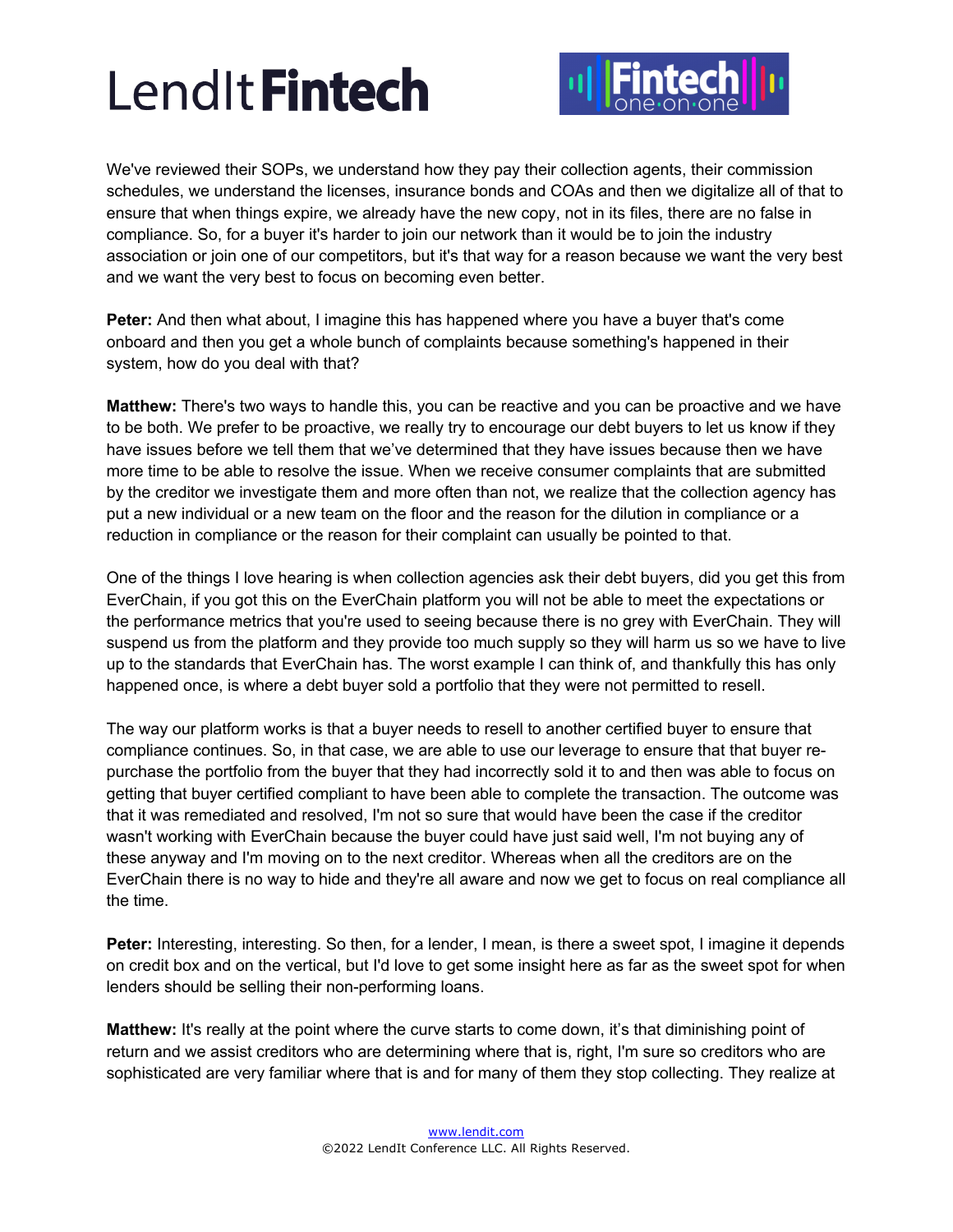

We've reviewed their SOPs, we understand how they pay their collection agents, their commission schedules, we understand the licenses, insurance bonds and COAs and then we digitalize all of that to ensure that when things expire, we already have the new copy, not in its files, there are no false in compliance. So, for a buyer it's harder to join our network than it would be to join the industry association or join one of our competitors, but it's that way for a reason because we want the very best and we want the very best to focus on becoming even better.

**Peter:** And then what about, I imagine this has happened where you have a buyer that's come onboard and then you get a whole bunch of complaints because something's happened in their system, how do you deal with that?

**Matthew:** There's two ways to handle this, you can be reactive and you can be proactive and we have to be both. We prefer to be proactive, we really try to encourage our debt buyers to let us know if they have issues before we tell them that we've determined that they have issues because then we have more time to be able to resolve the issue. When we receive consumer complaints that are submitted by the creditor we investigate them and more often than not, we realize that the collection agency has put a new individual or a new team on the floor and the reason for the dilution in compliance or a reduction in compliance or the reason for their complaint can usually be pointed to that.

One of the things I love hearing is when collection agencies ask their debt buyers, did you get this from EverChain, if you got this on the EverChain platform you will not be able to meet the expectations or the performance metrics that you're used to seeing because there is no grey with EverChain. They will suspend us from the platform and they provide too much supply so they will harm us so we have to live up to the standards that EverChain has. The worst example I can think of, and thankfully this has only happened once, is where a debt buyer sold a portfolio that they were not permitted to resell.

The way our platform works is that a buyer needs to resell to another certified buyer to ensure that compliance continues. So, in that case, we are able to use our leverage to ensure that that buyer repurchase the portfolio from the buyer that they had incorrectly sold it to and then was able to focus on getting that buyer certified compliant to have been able to complete the transaction. The outcome was that it was remediated and resolved, I'm not so sure that would have been the case if the creditor wasn't working with EverChain because the buyer could have just said well, I'm not buying any of these anyway and I'm moving on to the next creditor. Whereas when all the creditors are on the EverChain there is no way to hide and they're all aware and now we get to focus on real compliance all the time.

**Peter:** Interesting, interesting. So then, for a lender, I mean, is there a sweet spot, I imagine it depends on credit box and on the vertical, but I'd love to get some insight here as far as the sweet spot for when lenders should be selling their non-performing loans.

**Matthew:** It's really at the point where the curve starts to come down, it's that diminishing point of return and we assist creditors who are determining where that is, right, I'm sure so creditors who are sophisticated are very familiar where that is and for many of them they stop collecting. They realize at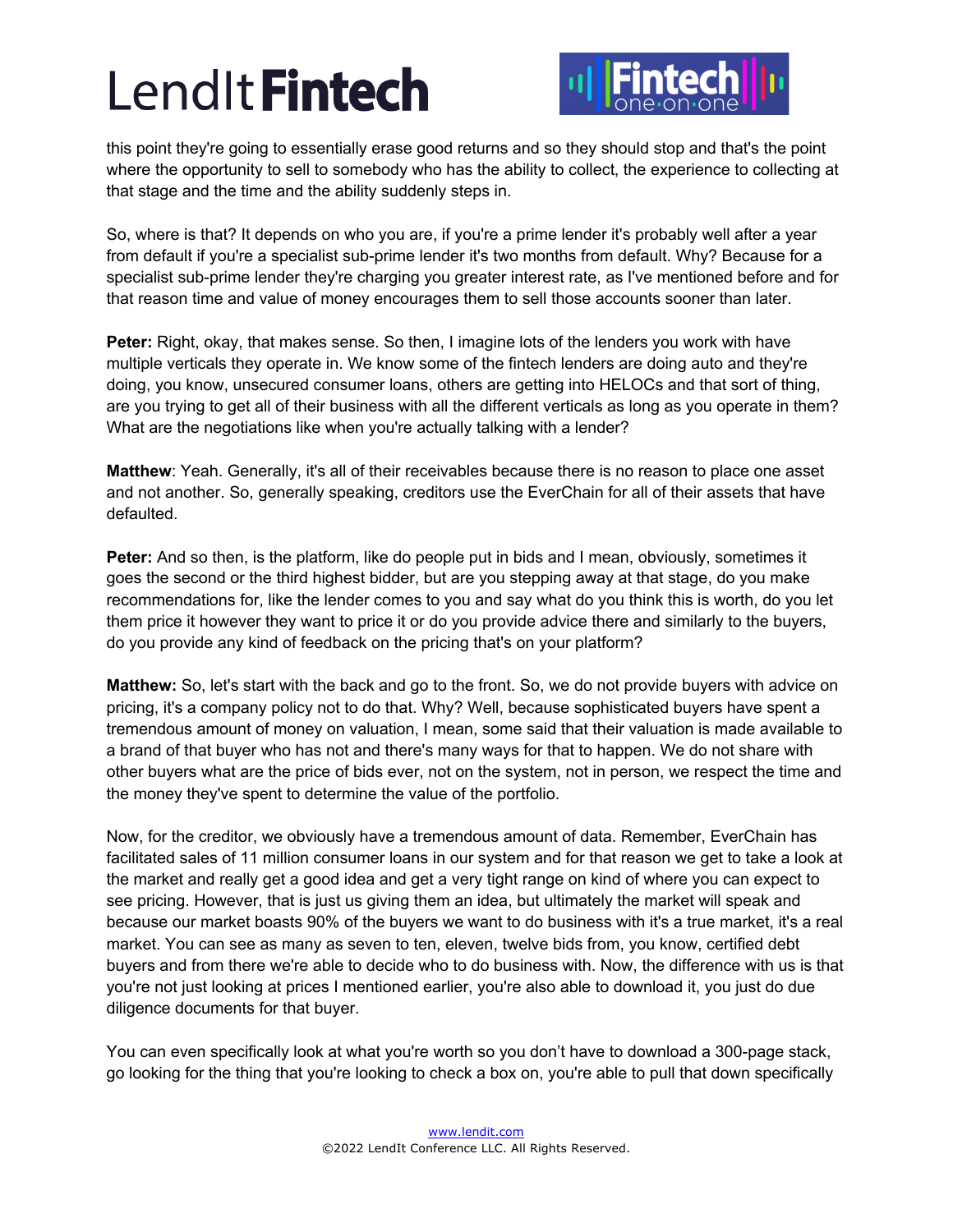

this point they're going to essentially erase good returns and so they should stop and that's the point where the opportunity to sell to somebody who has the ability to collect, the experience to collecting at that stage and the time and the ability suddenly steps in.

So, where is that? It depends on who you are, if you're a prime lender it's probably well after a year from default if you're a specialist sub-prime lender it's two months from default. Why? Because for a specialist sub-prime lender they're charging you greater interest rate, as I've mentioned before and for that reason time and value of money encourages them to sell those accounts sooner than later.

**Peter:** Right, okay, that makes sense. So then, I imagine lots of the lenders you work with have multiple verticals they operate in. We know some of the fintech lenders are doing auto and they're doing, you know, unsecured consumer loans, others are getting into HELOCs and that sort of thing, are you trying to get all of their business with all the different verticals as long as you operate in them? What are the negotiations like when you're actually talking with a lender?

**Matthew**: Yeah. Generally, it's all of their receivables because there is no reason to place one asset and not another. So, generally speaking, creditors use the EverChain for all of their assets that have defaulted.

**Peter:** And so then, is the platform, like do people put in bids and I mean, obviously, sometimes it goes the second or the third highest bidder, but are you stepping away at that stage, do you make recommendations for, like the lender comes to you and say what do you think this is worth, do you let them price it however they want to price it or do you provide advice there and similarly to the buyers, do you provide any kind of feedback on the pricing that's on your platform?

**Matthew:** So, let's start with the back and go to the front. So, we do not provide buyers with advice on pricing, it's a company policy not to do that. Why? Well, because sophisticated buyers have spent a tremendous amount of money on valuation, I mean, some said that their valuation is made available to a brand of that buyer who has not and there's many ways for that to happen. We do not share with other buyers what are the price of bids ever, not on the system, not in person, we respect the time and the money they've spent to determine the value of the portfolio.

Now, for the creditor, we obviously have a tremendous amount of data. Remember, EverChain has facilitated sales of 11 million consumer loans in our system and for that reason we get to take a look at the market and really get a good idea and get a very tight range on kind of where you can expect to see pricing. However, that is just us giving them an idea, but ultimately the market will speak and because our market boasts 90% of the buyers we want to do business with it's a true market, it's a real market. You can see as many as seven to ten, eleven, twelve bids from, you know, certified debt buyers and from there we're able to decide who to do business with. Now, the difference with us is that you're not just looking at prices I mentioned earlier, you're also able to download it, you just do due diligence documents for that buyer.

You can even specifically look at what you're worth so you don't have to download a 300-page stack, go looking for the thing that you're looking to check a box on, you're able to pull that down specifically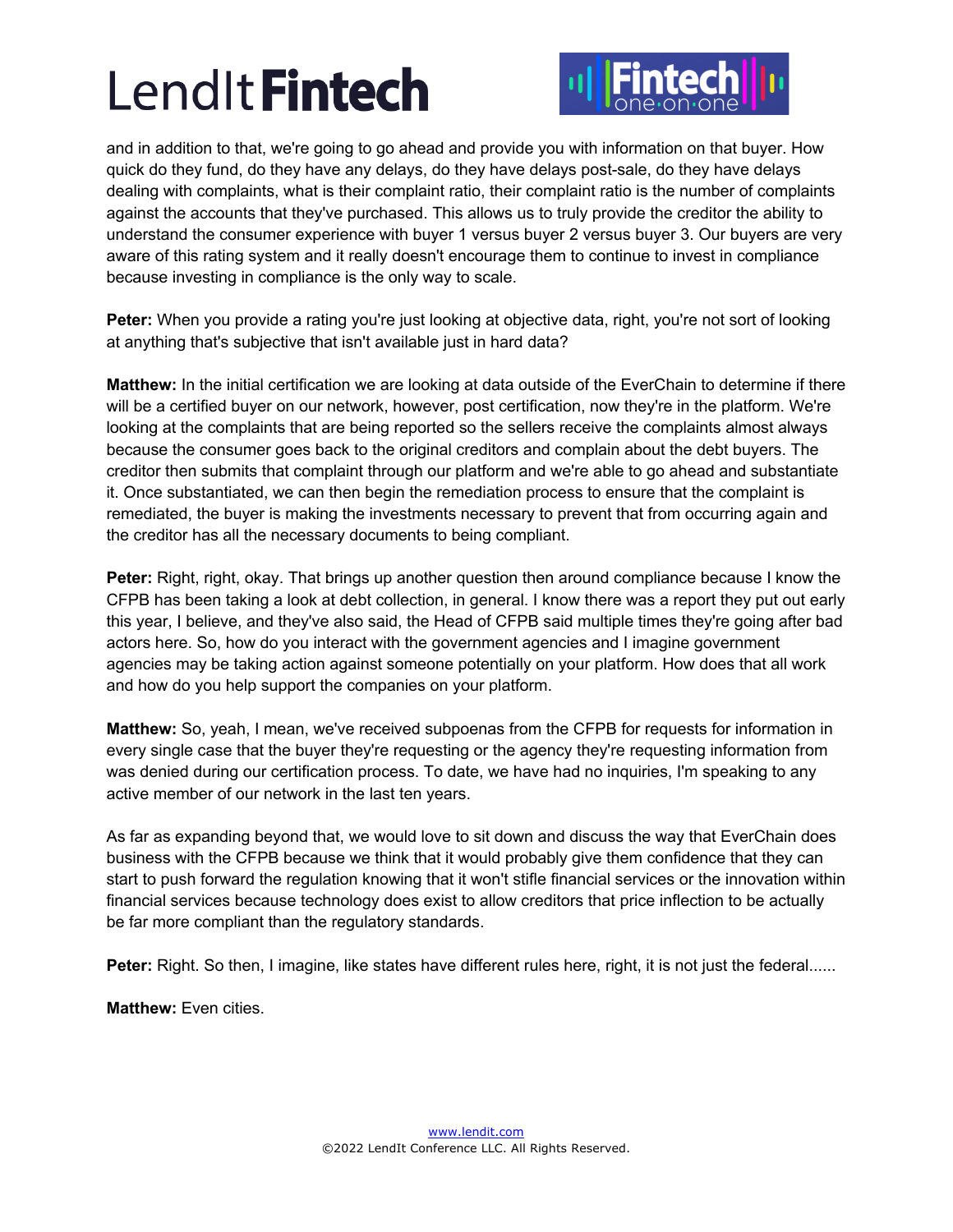

and in addition to that, we're going to go ahead and provide you with information on that buyer. How quick do they fund, do they have any delays, do they have delays post-sale, do they have delays dealing with complaints, what is their complaint ratio, their complaint ratio is the number of complaints against the accounts that they've purchased. This allows us to truly provide the creditor the ability to understand the consumer experience with buyer 1 versus buyer 2 versus buyer 3. Our buyers are very aware of this rating system and it really doesn't encourage them to continue to invest in compliance because investing in compliance is the only way to scale.

Peter: When you provide a rating you're just looking at objective data, right, you're not sort of looking at anything that's subjective that isn't available just in hard data?

**Matthew:** In the initial certification we are looking at data outside of the EverChain to determine if there will be a certified buyer on our network, however, post certification, now they're in the platform. We're looking at the complaints that are being reported so the sellers receive the complaints almost always because the consumer goes back to the original creditors and complain about the debt buyers. The creditor then submits that complaint through our platform and we're able to go ahead and substantiate it. Once substantiated, we can then begin the remediation process to ensure that the complaint is remediated, the buyer is making the investments necessary to prevent that from occurring again and the creditor has all the necessary documents to being compliant.

**Peter:** Right, right, okay. That brings up another question then around compliance because I know the CFPB has been taking a look at debt collection, in general. I know there was a report they put out early this year, I believe, and they've also said, the Head of CFPB said multiple times they're going after bad actors here. So, how do you interact with the government agencies and I imagine government agencies may be taking action against someone potentially on your platform. How does that all work and how do you help support the companies on your platform.

**Matthew:** So, yeah, I mean, we've received subpoenas from the CFPB for requests for information in every single case that the buyer they're requesting or the agency they're requesting information from was denied during our certification process. To date, we have had no inquiries, I'm speaking to any active member of our network in the last ten years.

As far as expanding beyond that, we would love to sit down and discuss the way that EverChain does business with the CFPB because we think that it would probably give them confidence that they can start to push forward the regulation knowing that it won't stifle financial services or the innovation within financial services because technology does exist to allow creditors that price inflection to be actually be far more compliant than the regulatory standards.

**Peter:** Right. So then, I imagine, like states have different rules here, right, it is not just the federal......

**Matthew:** Even cities.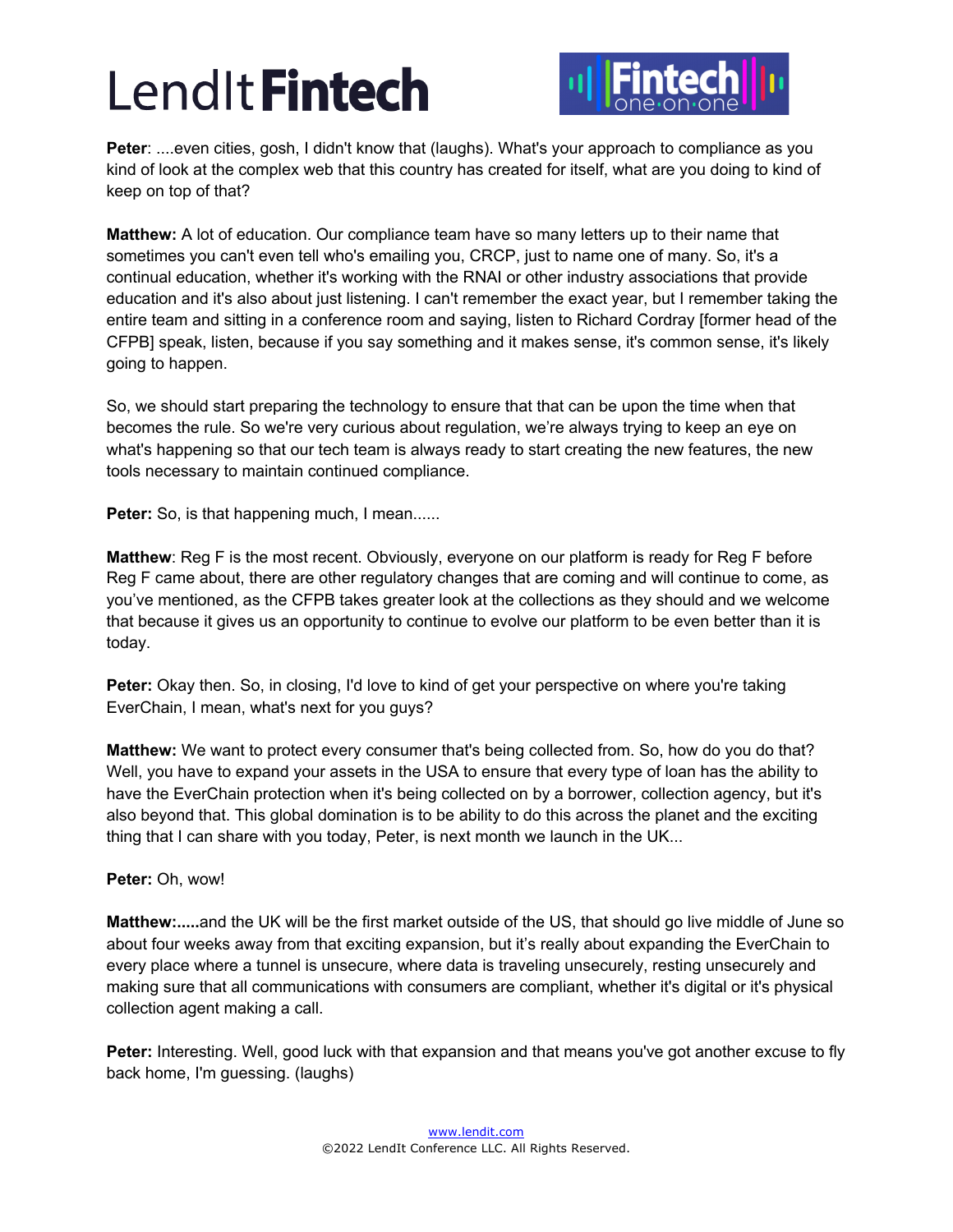

**Peter**: ....even cities, gosh, I didn't know that (laughs). What's your approach to compliance as you kind of look at the complex web that this country has created for itself, what are you doing to kind of keep on top of that?

**Matthew:** A lot of education. Our compliance team have so many letters up to their name that sometimes you can't even tell who's emailing you, CRCP, just to name one of many. So, it's a continual education, whether it's working with the RNAI or other industry associations that provide education and it's also about just listening. I can't remember the exact year, but I remember taking the entire team and sitting in a conference room and saying, listen to Richard Cordray [former head of the CFPB] speak, listen, because if you say something and it makes sense, it's common sense, it's likely going to happen.

So, we should start preparing the technology to ensure that that can be upon the time when that becomes the rule. So we're very curious about regulation, we're always trying to keep an eye on what's happening so that our tech team is always ready to start creating the new features, the new tools necessary to maintain continued compliance.

**Peter:** So, is that happening much, I mean......

**Matthew**: Reg F is the most recent. Obviously, everyone on our platform is ready for Reg F before Reg F came about, there are other regulatory changes that are coming and will continue to come, as you've mentioned, as the CFPB takes greater look at the collections as they should and we welcome that because it gives us an opportunity to continue to evolve our platform to be even better than it is today.

**Peter:** Okay then. So, in closing, I'd love to kind of get your perspective on where you're taking EverChain, I mean, what's next for you guys?

**Matthew:** We want to protect every consumer that's being collected from. So, how do you do that? Well, you have to expand your assets in the USA to ensure that every type of loan has the ability to have the EverChain protection when it's being collected on by a borrower, collection agency, but it's also beyond that. This global domination is to be ability to do this across the planet and the exciting thing that I can share with you today, Peter, is next month we launch in the UK...

### **Peter:** Oh, wow!

**Matthew:.....**and the UK will be the first market outside of the US, that should go live middle of June so about four weeks away from that exciting expansion, but it's really about expanding the EverChain to every place where a tunnel is unsecure, where data is traveling unsecurely, resting unsecurely and making sure that all communications with consumers are compliant, whether it's digital or it's physical collection agent making a call.

**Peter:** Interesting. Well, good luck with that expansion and that means you've got another excuse to fly back home, I'm guessing. (laughs)